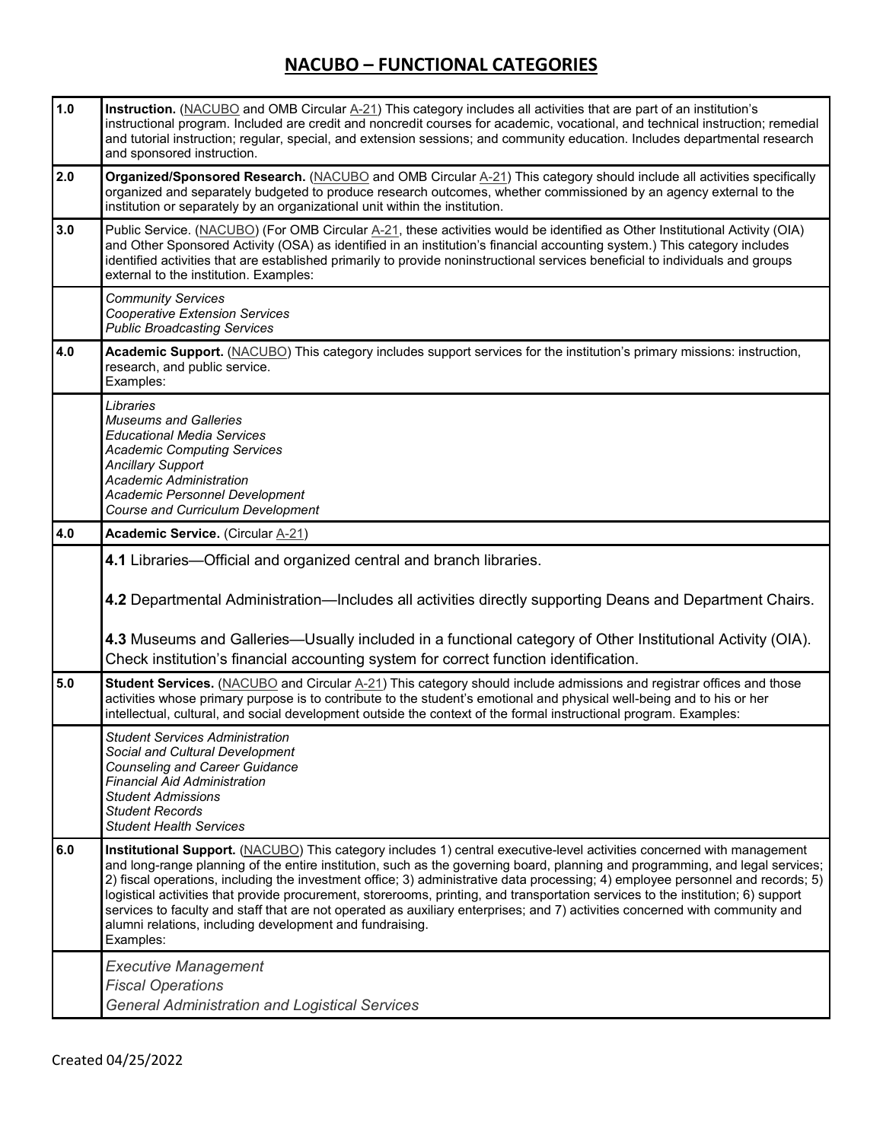| 1.0 | Instruction. (NACUBO and OMB Circular A-21) This category includes all activities that are part of an institution's<br>instructional program. Included are credit and noncredit courses for academic, vocational, and technical instruction; remedial<br>and tutorial instruction; regular, special, and extension sessions; and community education. Includes departmental research<br>and sponsored instruction.                                                                                                                                                                                                                                                                                                                      |  |  |  |
|-----|-----------------------------------------------------------------------------------------------------------------------------------------------------------------------------------------------------------------------------------------------------------------------------------------------------------------------------------------------------------------------------------------------------------------------------------------------------------------------------------------------------------------------------------------------------------------------------------------------------------------------------------------------------------------------------------------------------------------------------------------|--|--|--|
| 2.0 | Organized/Sponsored Research. (NACUBO and OMB Circular A-21) This category should include all activities specifically<br>organized and separately budgeted to produce research outcomes, whether commissioned by an agency external to the<br>institution or separately by an organizational unit within the institution.                                                                                                                                                                                                                                                                                                                                                                                                               |  |  |  |
| 3.0 | Public Service. (NACUBO) (For OMB Circular A-21, these activities would be identified as Other Institutional Activity (OIA)<br>and Other Sponsored Activity (OSA) as identified in an institution's financial accounting system.) This category includes<br>identified activities that are established primarily to provide noninstructional services beneficial to individuals and groups<br>external to the institution. Examples:                                                                                                                                                                                                                                                                                                    |  |  |  |
|     | <b>Community Services</b><br><b>Cooperative Extension Services</b><br><b>Public Broadcasting Services</b>                                                                                                                                                                                                                                                                                                                                                                                                                                                                                                                                                                                                                               |  |  |  |
| 4.0 | Academic Support. (NACUBO) This category includes support services for the institution's primary missions: instruction,<br>research, and public service.<br>Examples:                                                                                                                                                                                                                                                                                                                                                                                                                                                                                                                                                                   |  |  |  |
|     | Libraries<br><b>Museums and Galleries</b><br><b>Educational Media Services</b><br><b>Academic Computing Services</b><br><b>Ancillary Support</b><br><b>Academic Administration</b><br>Academic Personnel Development<br><b>Course and Curriculum Development</b>                                                                                                                                                                                                                                                                                                                                                                                                                                                                        |  |  |  |
| 4.0 | <b>Academic Service.</b> (Circular A-21)                                                                                                                                                                                                                                                                                                                                                                                                                                                                                                                                                                                                                                                                                                |  |  |  |
|     | 4.1 Libraries—Official and organized central and branch libraries.                                                                                                                                                                                                                                                                                                                                                                                                                                                                                                                                                                                                                                                                      |  |  |  |
|     | 4.2 Departmental Administration—Includes all activities directly supporting Deans and Department Chairs.                                                                                                                                                                                                                                                                                                                                                                                                                                                                                                                                                                                                                                |  |  |  |
|     | 4.3 Museums and Galleries—Usually included in a functional category of Other Institutional Activity (OIA).<br>Check institution's financial accounting system for correct function identification.                                                                                                                                                                                                                                                                                                                                                                                                                                                                                                                                      |  |  |  |
| 5.0 | Student Services. (NACUBO and Circular A-21) This category should include admissions and registrar offices and those<br>activities whose primary purpose is to contribute to the student's emotional and physical well-being and to his or her<br>intellectual, cultural, and social development outside the context of the formal instructional program. Examples:                                                                                                                                                                                                                                                                                                                                                                     |  |  |  |
|     |                                                                                                                                                                                                                                                                                                                                                                                                                                                                                                                                                                                                                                                                                                                                         |  |  |  |
|     | <b>Student Services Administration</b><br>Social and Cultural Development<br><b>Counseling and Career Guidance</b><br><b>Financial Aid Administration</b><br><b>Student Admissions</b><br><b>Student Records</b><br><b>Student Health Services</b>                                                                                                                                                                                                                                                                                                                                                                                                                                                                                      |  |  |  |
| 6.0 | Institutional Support. (NACUBO) This category includes 1) central executive-level activities concerned with management<br>and long-range planning of the entire institution, such as the governing board, planning and programming, and legal services;<br>2) fiscal operations, including the investment office; 3) administrative data processing; 4) employee personnel and records; 5)<br>logistical activities that provide procurement, storerooms, printing, and transportation services to the institution; 6) support<br>services to faculty and staff that are not operated as auxiliary enterprises; and 7) activities concerned with community and<br>alumni relations, including development and fundraising.<br>Examples: |  |  |  |
|     | <b>Executive Management</b>                                                                                                                                                                                                                                                                                                                                                                                                                                                                                                                                                                                                                                                                                                             |  |  |  |
|     | <b>Fiscal Operations</b><br><b>General Administration and Logistical Services</b>                                                                                                                                                                                                                                                                                                                                                                                                                                                                                                                                                                                                                                                       |  |  |  |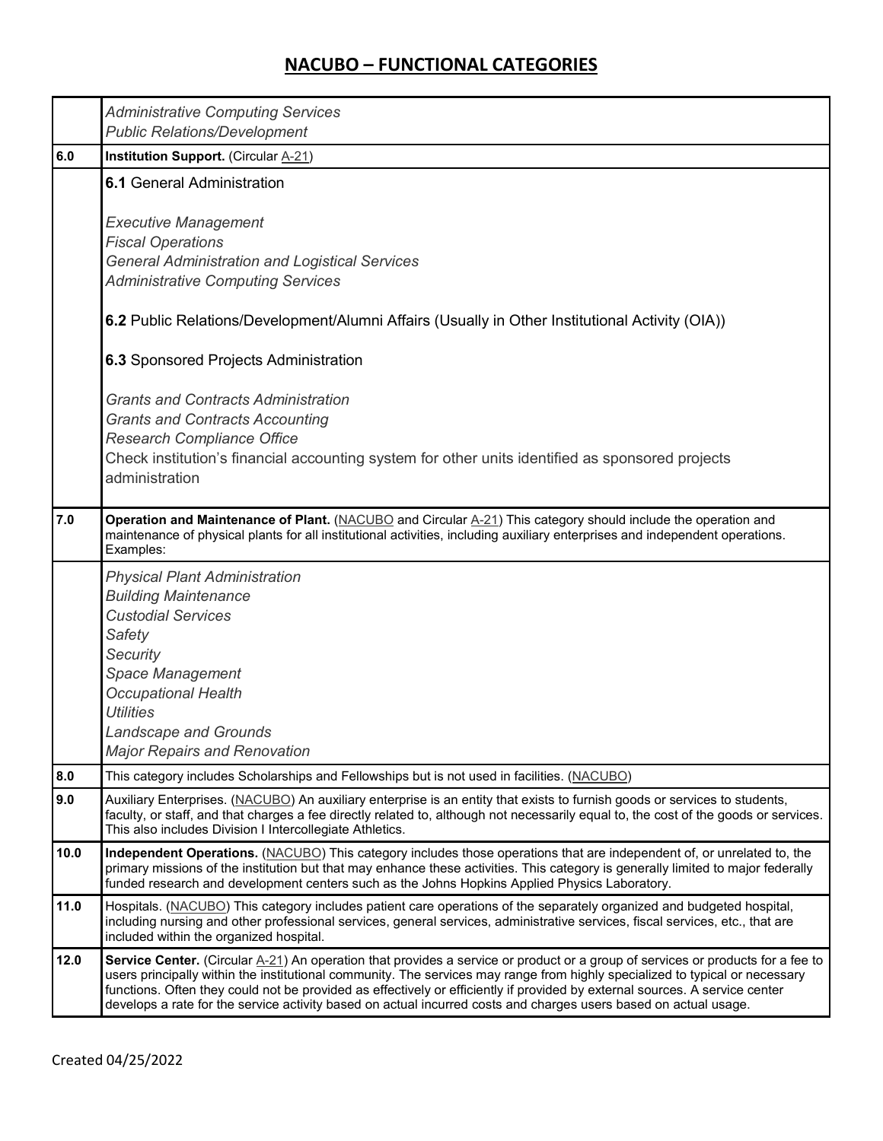|      | <b>Administrative Computing Services</b><br><b>Public Relations/Development</b>                                                                                                                                                                                                                                                                                                                                                                                                                                    |  |  |  |  |
|------|--------------------------------------------------------------------------------------------------------------------------------------------------------------------------------------------------------------------------------------------------------------------------------------------------------------------------------------------------------------------------------------------------------------------------------------------------------------------------------------------------------------------|--|--|--|--|
| 6.0  | <b>Institution Support.</b> (Circular A-21)                                                                                                                                                                                                                                                                                                                                                                                                                                                                        |  |  |  |  |
|      | <b>6.1 General Administration</b>                                                                                                                                                                                                                                                                                                                                                                                                                                                                                  |  |  |  |  |
|      | <b>Executive Management</b><br><b>Fiscal Operations</b><br><b>General Administration and Logistical Services</b><br><b>Administrative Computing Services</b>                                                                                                                                                                                                                                                                                                                                                       |  |  |  |  |
|      | 6.2 Public Relations/Development/Alumni Affairs (Usually in Other Institutional Activity (OIA))                                                                                                                                                                                                                                                                                                                                                                                                                    |  |  |  |  |
|      | 6.3 Sponsored Projects Administration                                                                                                                                                                                                                                                                                                                                                                                                                                                                              |  |  |  |  |
|      | <b>Grants and Contracts Administration</b><br><b>Grants and Contracts Accounting</b><br><b>Research Compliance Office</b><br>Check institution's financial accounting system for other units identified as sponsored projects<br>administration                                                                                                                                                                                                                                                                    |  |  |  |  |
| 7.0  | Operation and Maintenance of Plant. (NACUBO and Circular A-21) This category should include the operation and<br>maintenance of physical plants for all institutional activities, including auxiliary enterprises and independent operations.<br>Examples:                                                                                                                                                                                                                                                         |  |  |  |  |
|      | <b>Physical Plant Administration</b><br><b>Building Maintenance</b><br><b>Custodial Services</b><br>Safety<br><b>Security</b><br><b>Space Management</b><br><b>Occupational Health</b><br><b>Utilities</b><br><b>Landscape and Grounds</b><br><b>Major Repairs and Renovation</b>                                                                                                                                                                                                                                  |  |  |  |  |
| 8.0  | This category includes Scholarships and Fellowships but is not used in facilities. (NACUBO)                                                                                                                                                                                                                                                                                                                                                                                                                        |  |  |  |  |
| 9.0  | Auxiliary Enterprises. (NACUBO) An auxiliary enterprise is an entity that exists to furnish goods or services to students,<br>faculty, or staff, and that charges a fee directly related to, although not necessarily equal to, the cost of the goods or services.<br>This also includes Division I Intercollegiate Athletics.                                                                                                                                                                                     |  |  |  |  |
| 10.0 | Independent Operations. (NACUBO) This category includes those operations that are independent of, or unrelated to, the<br>primary missions of the institution but that may enhance these activities. This category is generally limited to major federally<br>funded research and development centers such as the Johns Hopkins Applied Physics Laboratory.                                                                                                                                                        |  |  |  |  |
| 11.0 | Hospitals. (NACUBO) This category includes patient care operations of the separately organized and budgeted hospital,<br>including nursing and other professional services, general services, administrative services, fiscal services, etc., that are<br>included within the organized hospital.                                                                                                                                                                                                                  |  |  |  |  |
| 12.0 | Service Center. (Circular A-21) An operation that provides a service or product or a group of services or products for a fee to<br>users principally within the institutional community. The services may range from highly specialized to typical or necessary<br>functions. Often they could not be provided as effectively or efficiently if provided by external sources. A service center<br>develops a rate for the service activity based on actual incurred costs and charges users based on actual usage. |  |  |  |  |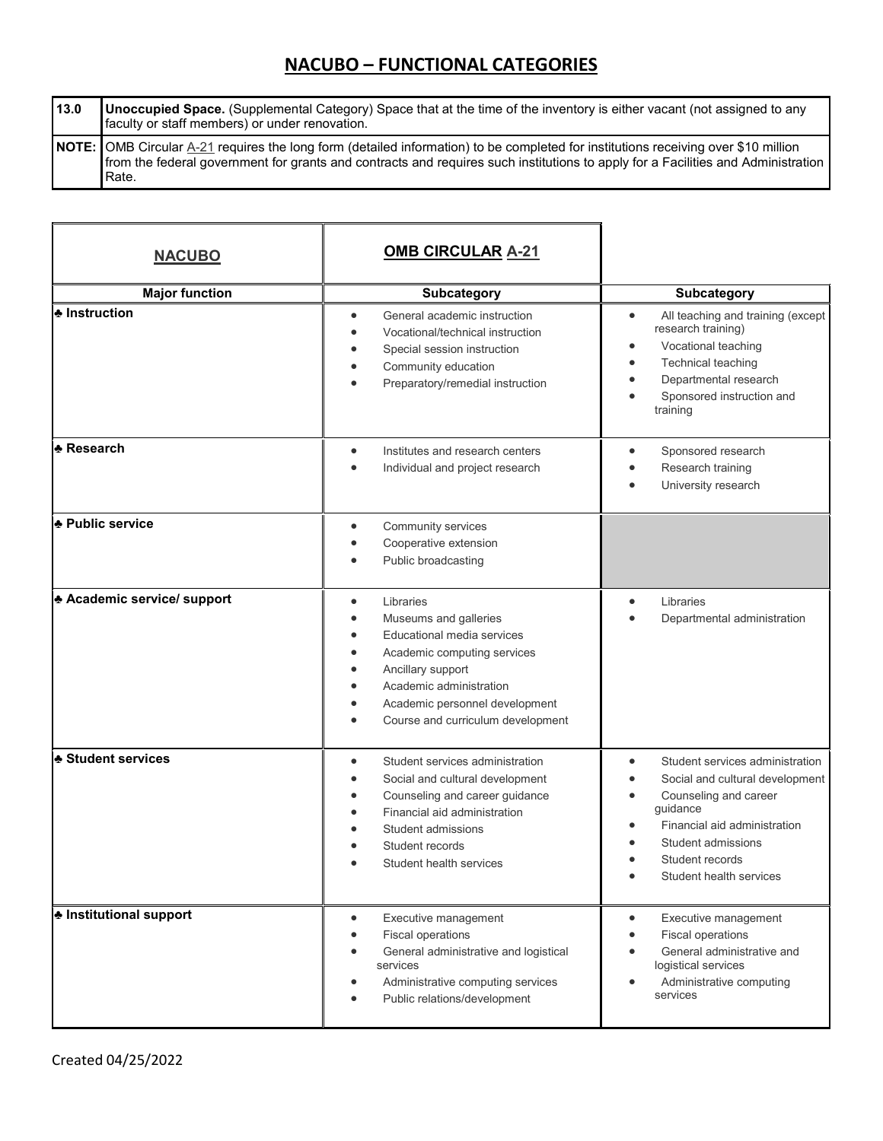**13.0 Unoccupied Space.** (Supplemental Category) Space that at the time of the inventory is either vacant (not assigned to any faculty or staff members) or under renovation. **NOTE:** OMB Circular [A-21](javascript:Popup() requires the long form (detailed information) to be completed for institutions receiving over \$10 million from the federal government for grants and contracts and requires such institutions to apply for a Facilities and Administration Rate.

| <b>NACUBO</b>                    | <b>OMB CIRCULAR A-21</b>                                                                                                                                                                                                                                                                                                       |                                                                                                                                                                                                             |
|----------------------------------|--------------------------------------------------------------------------------------------------------------------------------------------------------------------------------------------------------------------------------------------------------------------------------------------------------------------------------|-------------------------------------------------------------------------------------------------------------------------------------------------------------------------------------------------------------|
| <b>Major function</b>            | <b>Subcategory</b>                                                                                                                                                                                                                                                                                                             | <b>Subcategory</b>                                                                                                                                                                                          |
| ♣ Instruction                    | General academic instruction<br>$\bullet$<br>Vocational/technical instruction<br>$\bullet$<br>Special session instruction<br>$\bullet$<br>Community education<br>$\bullet$<br>Preparatory/remedial instruction<br>$\bullet$                                                                                                    | All teaching and training (except<br>$\bullet$<br>research training)<br>Vocational teaching<br>Technical teaching<br>Departmental research<br>Sponsored instruction and<br>training                         |
| <b>* Research</b>                | Institutes and research centers<br>$\bullet$<br>Individual and project research<br>$\bullet$                                                                                                                                                                                                                                   | Sponsored research<br>$\bullet$<br>Research training<br>University research                                                                                                                                 |
| * Public service                 | Community services<br>$\bullet$<br>Cooperative extension<br>$\bullet$<br>Public broadcasting<br>$\bullet$                                                                                                                                                                                                                      |                                                                                                                                                                                                             |
| <b>Academic service/ support</b> | Libraries<br>$\bullet$<br>Museums and galleries<br>$\bullet$<br>Educational media services<br>$\bullet$<br>Academic computing services<br>$\bullet$<br>Ancillary support<br>$\bullet$<br>Academic administration<br>$\bullet$<br>Academic personnel development<br>$\bullet$<br>Course and curriculum development<br>$\bullet$ | Libraries<br>$\bullet$<br>Departmental administration                                                                                                                                                       |
| <b>* Student services</b>        | Student services administration<br>$\bullet$<br>Social and cultural development<br>$\bullet$<br>Counseling and career guidance<br>$\bullet$<br>Financial aid administration<br>$\bullet$<br>Student admissions<br>$\bullet$<br>Student records<br>Student health services                                                      | Student services administration<br>Social and cultural development<br>Counseling and career<br>guidance<br>Financial aid administration<br>Student admissions<br>Student records<br>Student health services |
| <b>ᢢ</b> Institutional support   | Executive management<br>$\bullet$<br><b>Fiscal operations</b><br>$\bullet$<br>General administrative and logistical<br>$\bullet$<br>services<br>Administrative computing services<br>٠<br>Public relations/development<br>$\bullet$                                                                                            | Executive management<br>$\bullet$<br><b>Fiscal operations</b><br>General administrative and<br>logistical services<br>Administrative computing<br>services                                                  |